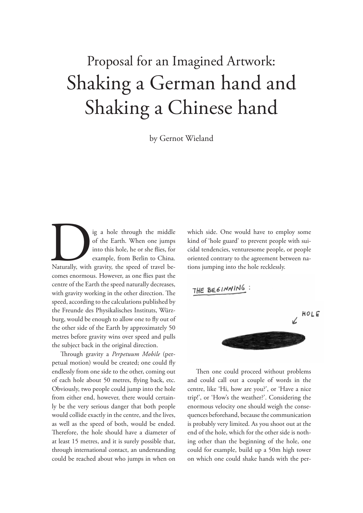## Shaking a German hand and Shaking a Chinese hand Proposal for an Imagined Artwork:

by Gernot Wieland

Ig a hole through the middle<br>
of the Earth. When one jumps<br>
into this hole, he or she flies, for<br>
example, from Berlin to China.<br>
Naturally, with gravity, the speed of travel be-<br>
somes apartments. However, as one flies ne of the Earth. When one jumps into this hole, he or she flies, for example, from Berlin to China. comes enormous. However, as one flies past the centre of the Earth the speed naturally decreases, with gravity working in the other direction. The speed, according to the calculations published by the Freunde des Physikalisches Instituts, Würzburg, would be enough to allow one to fly out of the other side of the Earth by approximately 50 metres before gravity wins over speed and pulls the subject back in the original direction.

Through gravity a *Perpetuum Mobile* (perpetual motion) would be created; one could fly endlessly from one side to the other, coming out of each hole about 50 metres, flying back, etc. Obviously, two people could jump into the hole from either end, however, there would certainly be the very serious danger that both people would collide exactly in the centre, and the lives, as well as the speed of both, would be ended. Therefore, the hole should have a diameter of at least 15 metres, and it is surely possible that, through international contact, an understanding could be reached about who jumps in when on

which side. One would have to employ some kind of 'hole guard' to prevent people with suicidal tendencies, venturesome people, or people oriented contrary to the agreement between nations jumping into the hole recklessly.

THE BEGINNING : HOLE

Then one could proceed without problems and could call out a couple of words in the centre, like 'Hi, how are you?', or 'Have a nice trip!', or 'How's the weather?'. Considering the enormous velocity one should weigh the consequences beforehand, because the communication is probably very limited. As you shoot out at the end of the hole, which for the other side is nothing other than the beginning of the hole, one could for example, build up a 50m high tower on which one could shake hands with the per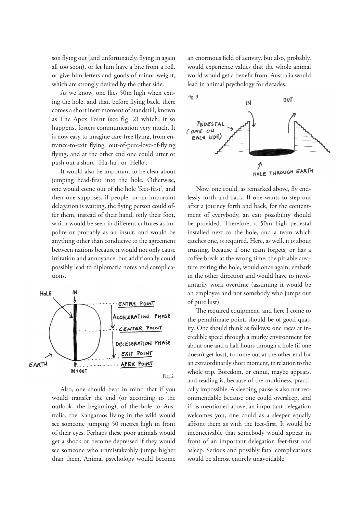son flying out (and unfortunately, flying in again all too soon), or let him have a bite from a roll, or give him letters and goods of minor weight, which are strongly desired by the other side.

As we know, one flies 50m high when exiting the hole, and that, before flying back, there comes a short inert moment of standstill, known as The Apex Point (see fig. 2) which, it so happens, fosters communication very much. It is now easy to imagine care-free flying, from entrance-to-exit flying, out-of-pure-love-of-flying flying, and at the other end one could utter or push out a short, 'Hu-hu', or 'Hello'.

It would also be important to be clear about jumping head-first into the hole. Otherwise, one would come out of the hole 'feet-first', and then one supposes, if people, or an important delegation is waiting, the flying person could offer them, instead of their hand, only their foot, which would be seen in different cultures as impolite or probably as an insult, and would be anything other than conducive to the agreement between nations because it would not only cause irritation and annoyance, but additionally could possibly lead to diplomatic notes and complications.



Also, one should bear in mind that if you would transfer the end (or according to the outlook, the beginning), of the hole to Australia, the Kangaroos living in the wild would see someone jumping 50 metres high in front of their eyes. Perhaps these poor animals would get a shock or become depressed if they would see someone who unmistakeably jumps higher than them. Animal psychology would become an enormous field of activity, but also, probably, would experience values that the whole animal world would get a benefit from. Australia would lead in animal psychology for decades.



Now, one could, as remarked above, fly endlessly forth and back. If one wants to step out after a journey forth and back, for the contentment of everybody, an exit possibility should be provided. Therefore, a 50m high pedestal installed next to the hole, and a team which catches one, is required. Here, as well, it is about trusting, because if one team forgets, or has a coffee break at the wrong time, the pitiable creature exiting the hole, would once again, embark in the other direction and would have to involuntarily work overtime (assuming it would be an employee and not somebody who jumps out of pure lust).

The required equipment, and here I come to the penultimate point, should be of good quality. One should think as follows: one races at incredible speed through a murky environment for about one and a half hours through a hole (if one doesn't get lost), to come out at the other end for an extraordinarily short moment, in relation to the whole trip. Boredom, or ennui, maybe appears, and reading is, because of the murkiness, practically impossible. A sleeping pause is also not recommendable because one could oversleep, and if, as mentioned above, an important delegation welcomes you, one could as a sleeper equally affront them as with the feet-first. It would be inconceivable that somebody would appear in front of an important delegation feet-first and asleep. Serious and possibly fatal complications would be almost entirely unavoidable.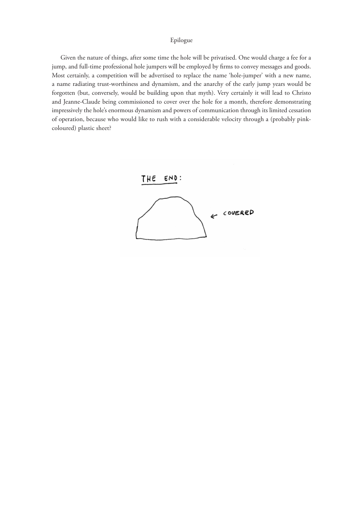## Epilogue

Given the nature of things, after some time the hole will be privatised. One would charge a fee for a jump, and full-time professional hole jumpers will be employed by firms to convey messages and goods. Most certainly, a competition will be advertised to replace the name 'hole-jumper' with a new name, a name radiating trust-worthiness and dynamism, and the anarchy of the early jump years would be forgotten (but, conversely, would be building upon that myth). Very certainly it will lead to Christo and Jeanne-Claude being commissioned to cover over the hole for a month, therefore demonstrating impressively the hole's enormous dynamism and powers of communication through its limited cessation of operation, because who would like to rush with a considerable velocity through a (probably pinkcoloured) plastic sheet?